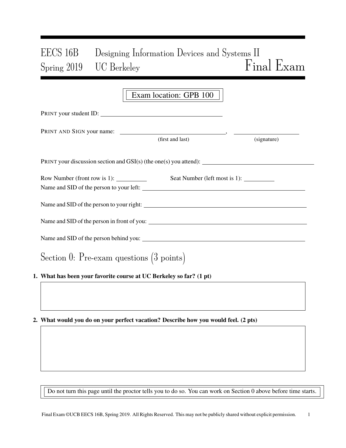# EECS 16B Designing Information Devices and Systems II Spring 2019 UC Berkeley Final Exam

|                                                                     | Exam location: GPB 100 |             |  |  |  |  |  |
|---------------------------------------------------------------------|------------------------|-------------|--|--|--|--|--|
| PRINT your student ID:                                              |                        |             |  |  |  |  |  |
|                                                                     | (first and last)       | (signature) |  |  |  |  |  |
| PRINT your discussion section and GSI(s) (the one(s) you attend):   |                        |             |  |  |  |  |  |
| Row Number (front row is 1): $\frac{1}{1}$                          |                        |             |  |  |  |  |  |
|                                                                     |                        |             |  |  |  |  |  |
| Name and SID of the person in front of you:                         |                        |             |  |  |  |  |  |
|                                                                     |                        |             |  |  |  |  |  |
| Section 0: Pre-exam questions $(3 \text{ points})$                  |                        |             |  |  |  |  |  |
| 1. What has been your favorite course at UC Berkeley so far? (1 pt) |                        |             |  |  |  |  |  |

2. What would you do on your perfect vacation? Describe how you would feel. (2 pts)

Do not turn this page until the proctor tells you to do so. You can work on Section 0 above before time starts.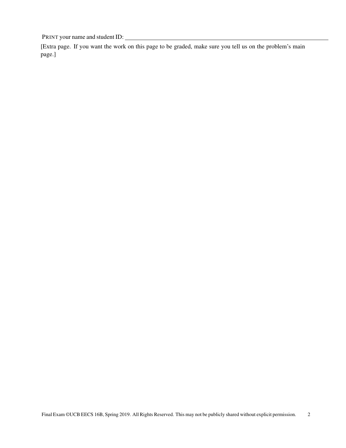[Extra page. If you want the work on this page to be graded, make sure you tell us on the problem's main page.]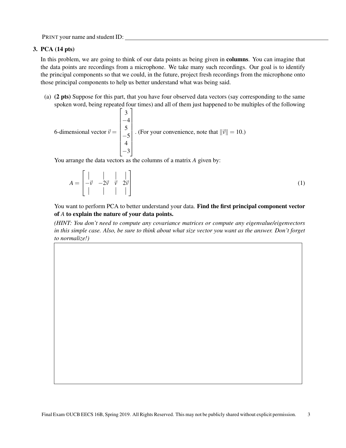### 3. PCA (14 pts)

In this problem, we are going to think of our data points as being given in columns. You can imagine that the data points are recordings from a microphone. We take many such recordings. Our goal is to identify the principal components so that we could, in the future, project fresh recordings from the microphone onto those principal components to help us better understand what was being said.

(a) (2 pts) Suppose for this part, that you have four observed data vectors (say corresponding to the same spoken word, being repeated four times) and all of them just happened to be multiples of the following

6-dimensional vector 
$$
\vec{v} = \begin{bmatrix} 3 \\ -4 \\ 5 \\ -5 \\ 4 \\ -3 \end{bmatrix}
$$
. (For your convenience, note that  $||\vec{v}|| = 10$ .)

You arrange the data vectors as the columns of a matrix *A* given by:

$$
A = \begin{bmatrix} \vert & \vert & \vert & \vert \\ -\vec{v} & -2\vec{v} & \vec{v} & 2\vec{v} \\ \vert & \vert & \vert & \vert \end{bmatrix}
$$
 (1)

You want to perform PCA to better understand your data. Find the first principal component vector of *A* to explain the nature of your data points.

*(HINT: You don't need to compute any covariance matrices or compute any eigenvalue/eigenvectors in this simple case. Also, be sure to think about what size vector you want as the answer. Don't forget to normalize!)*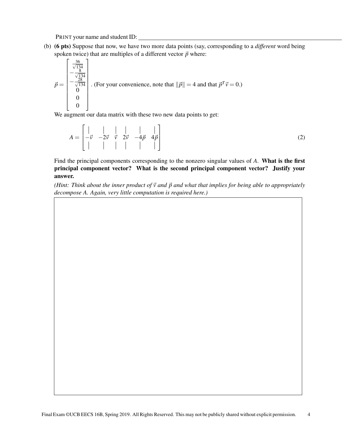(b) (6 pts) Suppose that now, we have two more data points (say, corresponding to a *different* word being spoken twice) that are multiples of a different vector  $\vec{p}$  where:

$$
\vec{p} = \begin{bmatrix} \frac{36}{\sqrt{134}} \\ -\frac{8}{\sqrt{134}} \\ 0 \\ 0 \\ 0 \\ 0 \end{bmatrix}.
$$
 (For your convenience, note that  $||\vec{p}|| = 4$  and that  $\vec{p}^T \vec{v} = 0$ .)

We augment our data matrix with these two new data points to get:

$$
A = \begin{bmatrix} | & | & | & | & | \\ -\vec{v} & -2\vec{v} & \vec{v} & 2\vec{v} & -4\vec{p} & 4\vec{p} \\ | & | & | & | & | & | \end{bmatrix}
$$
(2)

Find the principal components corresponding to the nonzero singular values of *A*. What is the first principal component vector? What is the second principal component vector? Justify your answer.

*(Hint: Think about the inner product of*  $\vec{v}$  *and*  $\vec{p}$  *and what that implies for being able to appropriately decompose A. Again, very little computation is required here.)*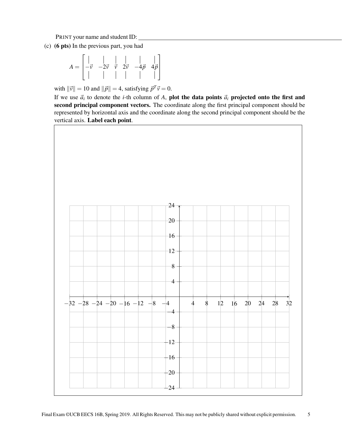(c) (6 pts) In the previous part, you had

$$
A = \begin{bmatrix} | & | & | & | & | \\ -\vec{v} & -2\vec{v} & \vec{v} & 2\vec{v} & -4\vec{p} & 4\vec{p} \\ | & | & | & | & | & | \end{bmatrix}
$$

with  $\|\vec{v}\| = 10$  and  $\|\vec{p}\| = 4$ , satisfying  $\vec{p}^T \vec{v} = 0$ .

If we use  $\vec{a}_i$  to denote the *i*-th column of *A*, plot the data points  $\vec{a}_i$  projected onto the first and second principal component vectors. The coordinate along the first principal component should be represented by horizontal axis and the coordinate along the second principal component should be the vertical axis. Label each point.

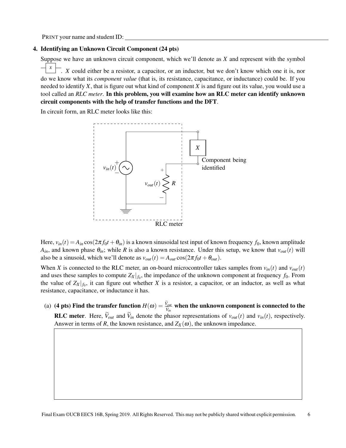### 4. Identifying an Unknown Circuit Component (24 pts)

Suppose we have an unknown circuit component, which we'll denote as *X* and represent with the symbol *X* . *X* could either be a resistor, a capacitor, or an inductor, but we don't know which one it is, nor do we know what its *component value* (that is, its resistance, capacitance, or inductance) could be. If you needed to identify *X*, that is figure out what kind of component *X* is and figure out its value, you would use a tool called an *RLC meter*. In this problem, you will examine how an RLC meter can identify unknown circuit components with the help of transfer functions and the DFT.

In circuit form, an RLC meter looks like this:



Here,  $v_{in}(t) = A_{in} \cos(2\pi f_0 t + \theta_{in})$  is a known sinusoidal test input of known frequency  $f_0$ , known amplitude  $A_{in}$ , and known phase  $\theta_{in}$ ; while *R* is also a known resistance. Under this setup, we know that  $v_{out}(t)$  will also be a sinusoid, which we'll denote as  $v_{out}(t) = A_{out} \cos(2\pi f_0 t + \theta_{out})$ .

When *X* is connected to the RLC meter, an on-board microcontroller takes samples from  $v_{in}(t)$  and  $v_{out}(t)$ and uses these samples to compute  $Z_X|_{f_0}$ , the impedance of the unknown component at frequency  $f_0$ . From the value of  $Z_X|_{f_0}$ , it can figure out whether *X* is a resistor, a capacitor, or an inductor, as well as what resistance, capacitance, or inductance it has.

(a) (4 pts) Find the transfer function  $H(\omega) = \frac{V_{out}}{\tilde{V}_{in}}$  when the unknown component is connected to the **RLC meter.** Here,  $\tilde{V}_{out}$  and  $\tilde{V}_{in}$  denote the phasor representations of  $v_{out}(t)$  and  $v_{in}(t)$ , respectively. Answer in terms of *R*, the known resistance, and  $Z_X(\omega)$ , the unknown impedance.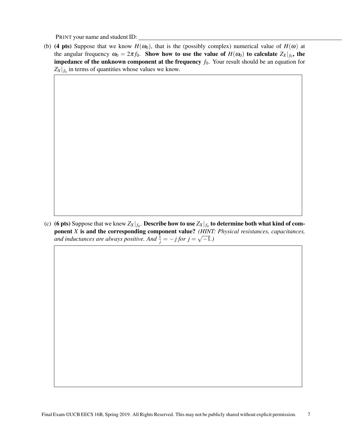(b) (4 pts) Suppose that we know  $H(\omega_0)$ , that is the (possibly complex) numerical value of  $H(\omega)$  at the angular frequency  $\omega_0 = 2\pi f_0$ . Show how to use the value of  $H(\omega_0)$  to calculate  $Z_X|_{f_0}$ , the **impedance of the unknown component at the frequency**  $f_0$ . Your result should be an equation for  $Z_X|_{f_0}$  in terms of quantities whose values we know.

(c) (**6** pts) Suppose that we knew  $Z_X|_{f_0}.$  Describe how to use  $Z_X|_{f_0}$  to determine both what kind of component *X* is and the corresponding component value? *(HINT: Physical resistances, capacitances, and inductances are always positive. And*  $\frac{1}{j} = -j$  *for*  $j =$ √ −1*.)*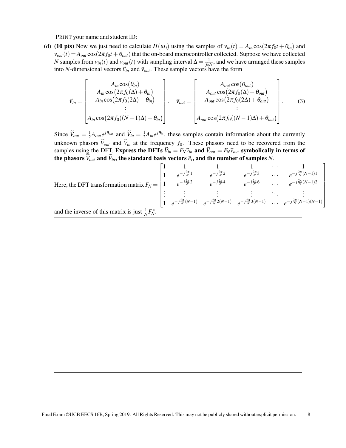(d) (10 pts) Now we just need to calculate  $H(\omega_0)$  using the samples of  $v_{in}(t) = A_{in} \cos(2\pi f_0 t + \theta_{in})$  and  $v_{out}(t) = A_{out} \cos(2\pi f_0 t + \theta_{out})$  that the on-board microcontroller collected. Suppose we have collected *N* samples from  $v_{in}(t)$  and  $v_{out}(t)$  with sampling interval  $\Delta = \frac{1}{f_0 N}$ , and we have arranged these samples into *N*-dimensional vectors  $\vec{v}_{in}$  and  $\vec{v}_{out}$ . These sample vectors have the form

$$
\vec{v}_{in} = \begin{bmatrix}\nA_{in} \cos(\theta_{in}) \\
A_{in} \cos(2\pi f_{0}(\Delta) + \theta_{in}) \\
A_{in} \cos(2\pi f_{0}(2\Delta) + \theta_{in})\n\end{bmatrix}, \quad\n\vec{v}_{out} = \begin{bmatrix}\nA_{out} \cos(\theta_{out}) \\
A_{out} \cos(2\pi f_{0}(\Delta) + \theta_{out}) \\
A_{out} \cos(2\pi f_{0}(2\Delta) + \theta_{out})\n\end{bmatrix}.
$$
\n(3)\n
$$
\begin{bmatrix}\nA_{in} \cos(2\pi f_{0}(\Delta) + \theta_{out}) \\
\vdots \\
A_{out} \cos(2\pi f_{0}((N-1)\Delta) + \theta_{out})\n\end{bmatrix}.
$$

Since  $\widetilde{V}_{out} = \frac{1}{2}$  $\frac{1}{2}A_{out}e^{j\theta_{out}}$  and  $\widetilde{V}_{in} = \frac{1}{2}$  $\frac{1}{2}A_{in}e^{j\theta_{in}}$ , these samples contain information about the currently unknown phasors  $\tilde{V}_{out}$  and  $\tilde{V}_{in}$  at the frequency  $f_0$ . These phasors need to be recovered from the samples using the DFT. Express the DFTs  $\vec{V}_{in} = F_N \vec{v}_{in}$  and  $\vec{V}_{out} = F_N \vec{v}_{out}$  symbolically in terms of the phasors  $V_{out}$  and  $V_{in}$ , the standard basis vectors  $\vec{e}_i$ , and the number of samples *N*.

|                                                                                                                                                                                           | $e^{-j\frac{2\pi}{N}1}$ |  | $e^{-j\frac{2\pi}{N}2}$ $e^{-j\frac{2\pi}{N}3}$ $\cdots$ $e^{-j\frac{2\pi}{N}(N-1)1}$                                                                                                                  |
|-------------------------------------------------------------------------------------------------------------------------------------------------------------------------------------------|-------------------------|--|--------------------------------------------------------------------------------------------------------------------------------------------------------------------------------------------------------|
| Here, the DFT transformation matrix $F_N = \begin{vmatrix} 1 & e^{-j\frac{2\pi}{N}2} & e^{-j\frac{2\pi}{N}4} & e^{-j\frac{2\pi}{N}6} & \cdots & e^{-j\frac{2\pi}{N}(N-1)2} \end{vmatrix}$ |                         |  |                                                                                                                                                                                                        |
|                                                                                                                                                                                           |                         |  |                                                                                                                                                                                                        |
|                                                                                                                                                                                           |                         |  | $\begin{vmatrix} \vdots & \vdots & \vdots & \vdots \\ 1 & e^{-j\frac{2\pi}{N}(N-1)} & e^{-j\frac{2\pi}{N}2(N-1)} & e^{-j\frac{2\pi}{N}3(N-1)} & \cdots & e^{-j\frac{2\pi}{N}(N-1)(N-1)} \end{vmatrix}$ |
|                                                                                                                                                                                           |                         |  |                                                                                                                                                                                                        |

and the inverse of this matrix is just  $\frac{1}{N}F_N^*$ .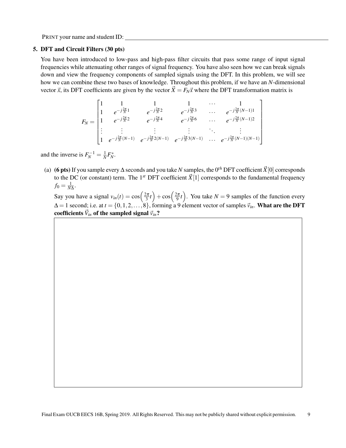#### 5. DFT and Circuit Filters (30 pts)

You have been introduced to low-pass and high-pass filter circuits that pass some range of input signal frequencies while attenuating other ranges of signal frequency. You have also seen how we can break signals down and view the frequency components of sampled signals using the DFT. In this problem, we will see how we can combine these two bases of knowledge. Throughout this problem, if we have an *N*-dimensional vector  $\vec{x}$ , its DFT coefficients are given by the vector  $\vec{X} = F_N \vec{x}$  where the DFT transformation matrix is

$$
F_N = \begin{bmatrix} 1 & 1 & 1 & 1 & \cdots & 1 \\ 1 & e^{-j\frac{2\pi}{N}1} & e^{-j\frac{2\pi}{N}2} & e^{-j\frac{2\pi}{N}3} & \cdots & e^{-j\frac{2\pi}{N}(N-1)1} \\ 1 & e^{-j\frac{2\pi}{N}2} & e^{-j\frac{2\pi}{N}4} & e^{-j\frac{2\pi}{N}6} & \cdots & e^{-j\frac{2\pi}{N}(N-1)2} \\ \vdots & \vdots & \vdots & \vdots & \ddots & \vdots \\ 1 & e^{-j\frac{2\pi}{N}(N-1)} & e^{-j\frac{2\pi}{N}2(N-1)} & e^{-j\frac{2\pi}{N}3(N-1)} & \cdots & e^{-j\frac{2\pi}{N}(N-1)(N-1)} \end{bmatrix}
$$

and the inverse is  $F_N^{-1} = \frac{1}{N} F_N^*$ .

(a) (6 pts) If you sample every  $\Delta$  seconds and you take *N* samples, the 0<sup>th</sup> DFT coefficient  $\vec{X}[0]$  corresponds to the DC (or constant) term. The 1<sup>st</sup> DFT coefficient  $\vec{X}[1]$  corresponds to the fundamental frequency  $f_0 = \frac{1}{N\Delta}$ .

Say you have a signal  $v_{in}(t) = \cos\left(\frac{2\pi}{3}t\right) + \cos\left(\frac{2\pi}{9}t\right)$ . You take  $N = 9$  samples of the function every  $\Delta = 1$  second; i.e. at  $t = \{0, 1, 2, \ldots, 8\}$ , forming a 9 element vector of samples  $\vec{v}_{in}$ . **What are the DFT** coefficients  $\vec{V}_{in}$  of the sampled signal  $\vec{v}_{in}$ ?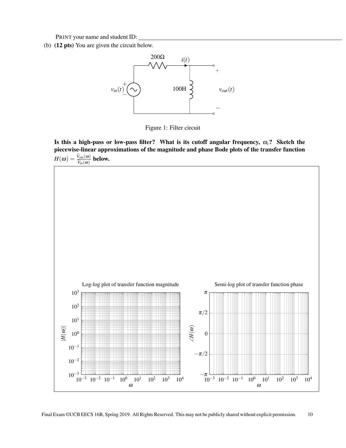<span id="page-9-0"></span>(b) (12 pts) You are given the circuit below.



Figure 1: Filter circuit

Is this a high-pass or low-pass filter? What is its cutoff angular frequency, ω*c*? Sketch the piecewise-linear approximations of the magnitude and phase Bode plots of the transfer function  $H(\omega) = \frac{V_{out}(\omega)}{\widetilde{V}_{in}(\omega)}$  below.

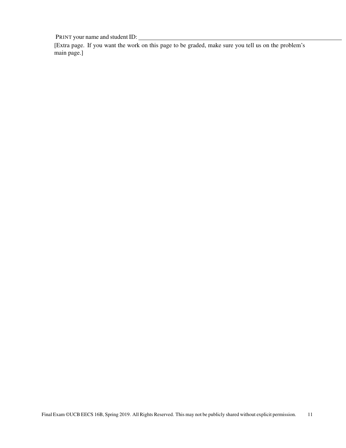[Extra page. If you want the work on this page to be graded, make sure you tell us on the problem's main page.]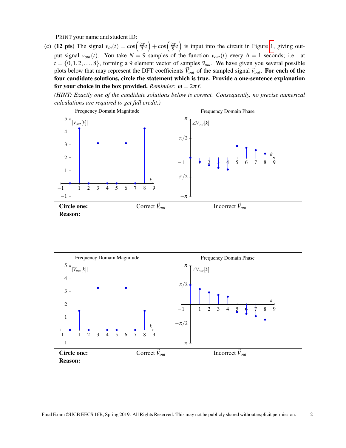(c) (12 pts) The signal  $v_{in}(t) = \cos\left(\frac{2\pi}{3}t\right) + \cos\left(\frac{2\pi}{9}t\right)$  is input into the circuit in Figure [1,](#page-9-0) giving output signal  $v_{out}(t)$ . You take  $N = 9$  samples of the function  $v_{out}(t)$  every  $\Delta = 1$  seconds; i.e. at  $t = \{0, 1, 2, \ldots, 8\}$ , forming a 9 element vector of samples  $\vec{v}_{out}$ . We have given you several possible plots below that may represent the DFT coefficients  $\vec{V}_{out}$  of the sampled signal  $\vec{v}_{out}$ . For each of the four candidate solutions, circle the statement which is true. Provide a one-sentence explanation for your choice in the box provided. *Reminder:*  $\omega = 2\pi f$ .

*(HINT: Exactly one of the candidate solutions below is correct. Consequently, no precise numerical calculations are required to get full credit.)*

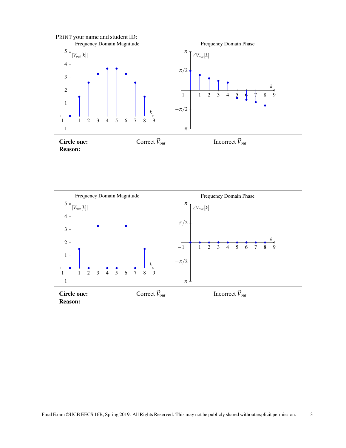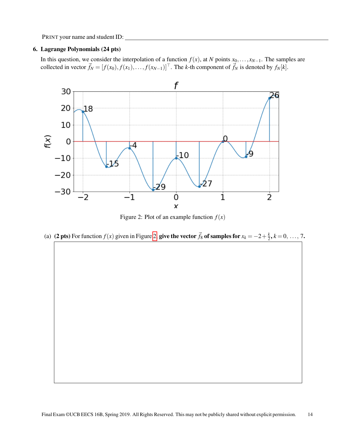#### 6. Lagrange Polynomials (24 pts)

In this question, we consider the interpolation of a function  $f(x)$ , at *N* points  $x_0, \ldots, x_{N-1}$ . The samples are collected in vector  $\vec{f}_N = [f(x_0), f(x_1), \ldots, f(x_{N-1})]^\top$ . The *k*-th component of  $\vec{f}_N$  is denoted by  $f_N[k]$ .

<span id="page-13-0"></span>

Figure 2: Plot of an example function  $f(x)$ 

(a) (2 pts) For function  $f(x)$  given in Figure [2,](#page-13-0) give the vector  $\vec{f}_8$  of samples for  $x_k = -2 + \frac{k}{2}$  $\frac{k}{2}$ ,  $k = 0, \ldots, 7$ .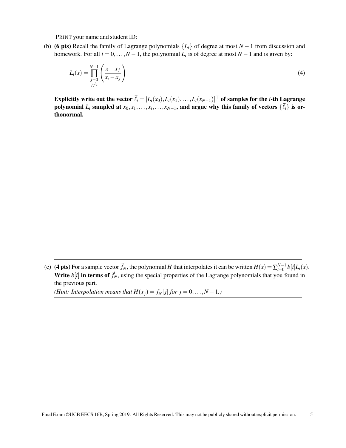(b) (6 pts) Recall the family of Lagrange polynomials {*Li*} of degree at most *N* −1 from discussion and homework. For all  $i = 0, ..., N - 1$ , the polynomial  $L_i$  is of degree at most  $N - 1$  and is given by:

$$
L_i(x) = \prod_{\substack{j=0 \ j \neq i}}^{N-1} \left( \frac{x - x_j}{x_i - x_j} \right) \tag{4}
$$

Explicitly write out the vector  $\vec{\ell}_i = [L_i(x_0), L_i(x_1), \ldots, L_i(x_{N-1})]^\top$  of samples for the *i*-th Lagrange polynomial  $L_i$  sampled at  $x_0, x_1, \ldots, x_i, \ldots, x_{N-1}$ , and argue why this family of vectors  $\{\vec{\ell}_i\}$  is orthonormal.

(c) (4 pts) For a sample vector  $\vec{f}_N$ , the polynomial *H* that interpolates it can be written  $H(x) = \sum_{i=0}^{N-1} b[i]L_i(x)$ . Write  $b[i]$  in terms of  $\vec{f}_N$ , using the special properties of the Lagrange polynomials that you found in the previous part.

*(Hint: Interpolation means that*  $H(x_j) = f_N[j]$  *for*  $j = 0, \ldots, N - 1$ *.)*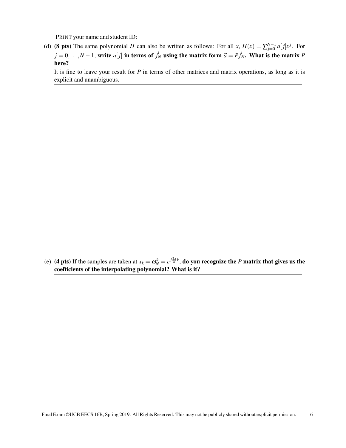(d) (8 pts) The same polynomial *H* can also be written as follows: For all *x*,  $H(x) = \sum_{j=0}^{N-1} a[j]x^j$ . For  $j = 0, \ldots, N-1$ , write *a*[*j*] in terms of  $\vec{f}_N$  using the matrix form  $\vec{a} = P\vec{f}_N$ . What is the matrix *P* here?

It is fine to leave your result for *P* in terms of other matrices and matrix operations, as long as it is explicit and unambiguous.

(e) (4 pts) If the samples are taken at  $x_k = \omega_N^k = e^{j\frac{2\pi}{N}k}$ , do you recognize the *P* matrix that gives us the coefficients of the interpolating polynomial? What is it?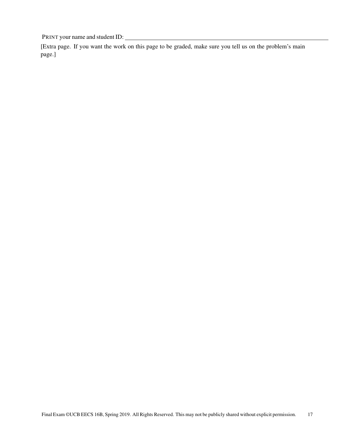[Extra page. If you want the work on this page to be graded, make sure you tell us on the problem's main page.]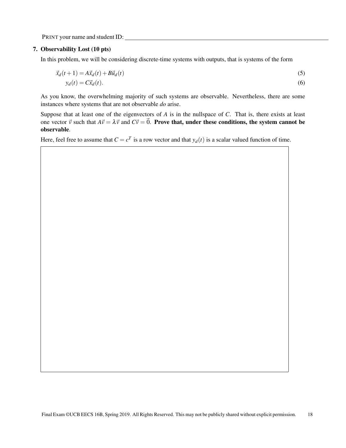#### 7. Observability Lost (10 pts)

In this problem, we will be considering discrete-time systems with outputs, that is systems of the form

$$
\vec{x}_d(t+1) = A\vec{x}_d(t) + B\vec{u}_d(t)
$$
\n
$$
y_d(t) = C\vec{x}_d(t).
$$
\n(5)

As you know, the overwhelming majority of such systems are observable. Nevertheless, there are some instances where systems that are not observable *do* arise.

Suppose that at least one of the eigenvectors of *A* is in the nullspace of *C*. That is, there exists at least one vector  $\vec{v}$  such that  $A\vec{v} = \lambda \vec{v}$  and  $C\vec{v} = \vec{0}$ . Prove that, under these conditions, the system cannot be observable.

Here, feel free to assume that  $C = c^T$  is a row vector and that  $y_d(t)$  is a scalar valued function of time.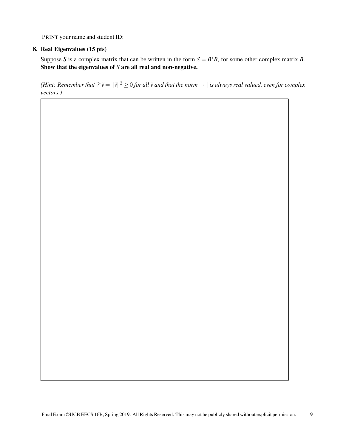## 8. Real Eigenvalues (15 pts)

Suppose *S* is a complex matrix that can be written in the form  $S = B^*B$ , for some other complex matrix *B*. Show that the eigenvalues of *S* are all real and non-negative.

(Hint: Remember that  $\vec{v}^*\vec{v} = \|\vec{v}\|^2 \ge 0$  for all  $\vec{v}$  and that the norm  $\|\cdot\|$  is always real valued, even for complex *vectors.)*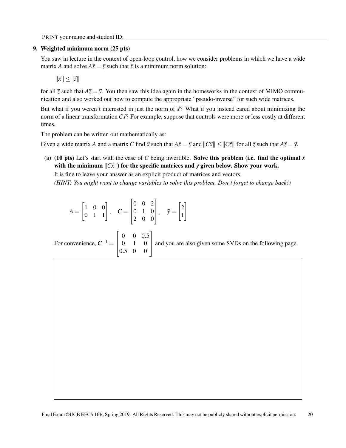### 9. Weighted minimum norm (25 pts)

You saw in lecture in the context of open-loop control, how we consider problems in which we have a wide matrix *A* and solve  $A\vec{x} = \vec{y}$  such that  $\vec{x}$  is a minimum norm solution:

 $\|\vec{x}\| \leq \|\vec{z}\|$ 

for all  $\vec{z}$  such that  $A\vec{z} = \vec{y}$ . You then saw this idea again in the homeworks in the context of MIMO communication and also worked out how to compute the appropriate "pseudo-inverse" for such wide matrices.

But what if you weren't interested in just the norm of  $\vec{x}$ ? What if you instead cared about minimizing the norm of a linear transformation  $C\vec{x}$ ? For example, suppose that controls were more or less costly at different times.

The problem can be written out mathematically as:

Given a wide matrix *A* and a matrix *C* find  $\vec{x}$  such that  $A\vec{x} = \vec{y}$  and  $||C\vec{x}|| \le ||C\vec{z}||$  for all  $\vec{z}$  such that  $A\vec{z} = \vec{y}$ .

(a) (10 pts) Let's start with the case of *C* being invertible. Solve this problem (i.e. find the optimal  $\vec{x}$ with the minimum  $\Vert C\vec{x}\Vert$  for the specific matrices and  $\vec{y}$  given below. Show your work. It is fine to leave your answer as an explicit product of matrices and vectors.

*(HINT: You might want to change variables to solve this problem. Don't forget to change back!)*

$$
A = \begin{bmatrix} 1 & 0 & 0 \\ 0 & 1 & 1 \end{bmatrix}, \quad C = \begin{bmatrix} 0 & 0 & 2 \\ 0 & 1 & 0 \\ 2 & 0 & 0 \end{bmatrix}, \quad \vec{y} = \begin{bmatrix} 2 \\ 1 \end{bmatrix}
$$

For convenience,  $C^{-1}$  =  $\sqrt{ }$  $\overline{1}$  $\begin{vmatrix} 0.5 & 0 & 0 \end{vmatrix}$  $0 \t 0 \t 0.5$ 0 1 0 and you are also given some SVDs on the following page.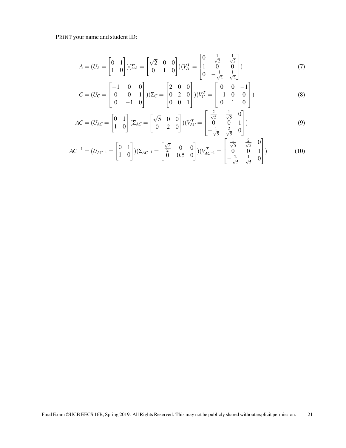$$
A = (U_A = \begin{bmatrix} 0 & 1 \\ 1 & 0 \end{bmatrix}) (\Sigma_A = \begin{bmatrix} \sqrt{2} & 0 & 0 \\ 0 & 1 & 0 \end{bmatrix}) (V_A^T = \begin{bmatrix} 0 & \frac{1}{\sqrt{2}} & \frac{1}{\sqrt{2}} \\ 1 & 0 & 0 \\ 0 & -\frac{1}{\sqrt{2}} & \frac{1}{\sqrt{2}} \end{bmatrix})
$$
(7)

$$
C = (U_C = \begin{bmatrix} -1 & 0 & 0 \\ 0 & 0 & 1 \\ 0 & -1 & 0 \end{bmatrix}) (\Sigma_C = \begin{bmatrix} 2 & 0 & 0 \\ 0 & 2 & 0 \\ 0 & 0 & 1 \end{bmatrix}) (V_C^T = \begin{bmatrix} 0 & 0 & -1 \\ -1 & 0 & 0 \\ 0 & 1 & 0 \end{bmatrix})
$$
(8)

$$
AC = (U_{AC} = \begin{bmatrix} 0 & 1 \\ 1 & 0 \end{bmatrix} (\Sigma_{AC} = \begin{bmatrix} \sqrt{5} & 0 & 0 \\ 0 & 2 & 0 \end{bmatrix}) (V_{AC}^T = \begin{bmatrix} \frac{2}{\sqrt{5}} & \frac{1}{\sqrt{5}} & 0 \\ 0 & 0 & 1 \\ -\frac{1}{\sqrt{5}} & \frac{2}{\sqrt{5}} & 0 \end{bmatrix})
$$
(9)

$$
AC^{-1} = (U_{AC^{-1}} = \begin{bmatrix} 0 & 1 \\ 1 & 0 \end{bmatrix}) (\Sigma_{AC^{-1}} = \begin{bmatrix} \frac{\sqrt{5}}{2} & 0 & 0 \\ 0 & 0.5 & 0 \end{bmatrix}) (V_{AC^{-1}}^T = \begin{bmatrix} \frac{1}{\sqrt{5}} & \frac{2}{\sqrt{5}} & 0 \\ 0 & 0 & 1 \\ -\frac{2}{\sqrt{5}} & \frac{1}{\sqrt{5}} & 0 \end{bmatrix})
$$
(10)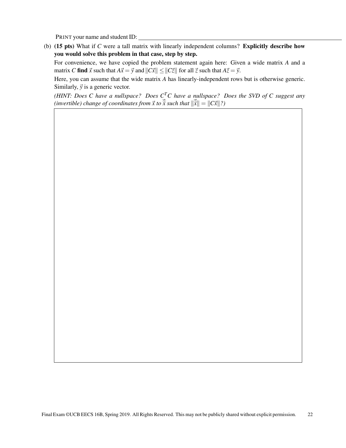(b) (15 pts) What if *C* were a tall matrix with linearly independent columns? Explicitly describe how you would solve this problem in that case, step by step.

For convenience, we have copied the problem statement again here: Given a wide matrix *A* and a matrix *C* find  $\vec{x}$  such that  $A\vec{x} = \vec{y}$  and  $||C\vec{x}|| \le ||C\vec{z}||$  for all  $\vec{z}$  such that  $A\vec{z} = \vec{y}$ .

Here, you can assume that the wide matrix *A* has linearly-independent rows but is otherwise generic. Similarly,  $\vec{y}$  is a generic vector.

*(HINT: Does C have a nullspace? Does CTC have a nullspace? Does the SVD of C suggest any* (invertible) change of coordinates from  $\vec{x}$  to  $\vec{\hat{x}}$  such that  $\|\vec{\hat{x}}\| = \|C\vec{x}\|$ ?)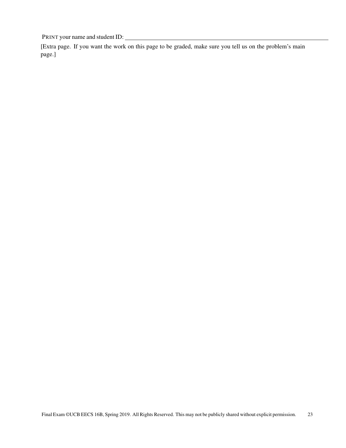[Extra page. If you want the work on this page to be graded, make sure you tell us on the problem's main page.]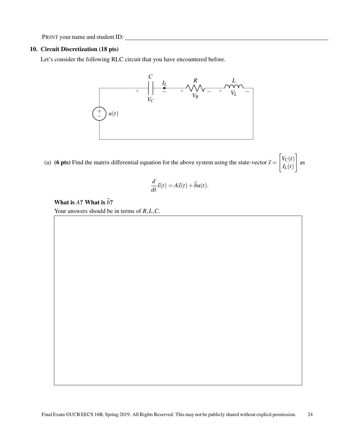## 10. Circuit Discretization (18 pts)

Let's consider the following RLC circuit that you have encountered before.



(a) (6 pts) Find the matrix differential equation for the above system using the state-vector  $\vec{x} =$  $V_C(t)$ *IL*(*t*) 1 as

$$
\frac{d}{dt}\vec{x}(t) = A\vec{x}(t) + \vec{b}u(t).
$$

## What is  $A$ ? What is  $\vec{b}$ ?

Your answers should be in terms of *R*,*L*,*C*.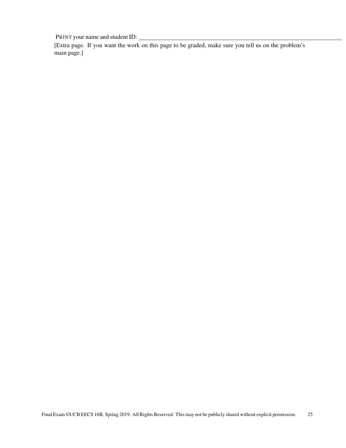[Extra page. If you want the work on this page to be graded, make sure you tell us on the problem's main page.]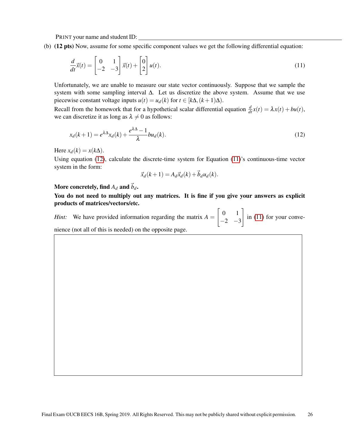(b) (12 pts) Now, assume for some specific component values we get the following differential equation:

$$
\frac{d}{dt}\vec{x}(t) = \begin{bmatrix} 0 & 1 \\ -2 & -3 \end{bmatrix} \vec{x}(t) + \begin{bmatrix} 0 \\ 2 \end{bmatrix} u(t).
$$
\n(11)

Unfortunately, we are unable to measure our state vector continuously. Suppose that we sample the system with some sampling interval  $\Delta$ . Let us discretize the above system. Assume that we use piecewise constant voltage inputs  $u(t) = u_d(k)$  for  $t \in [k\Delta, (k+1)\Delta)$ .

Recall from the homework that for a hypothetical scalar differential equation  $\frac{d}{dt}x(t) = \lambda x(t) + bu(t)$ , we can discretize it as long as  $\lambda \neq 0$  as follows:

$$
x_d(k+1) = e^{\lambda \Delta} x_d(k) + \frac{e^{\lambda \Delta} - 1}{\lambda} b u_d(k).
$$
\n(12)

Here  $x_d(k) = x(k\Delta)$ .

Using equation [\(12\)](#page-25-0), calculate the discrete-time system for Equation [\(11\)](#page-25-1)'s continuous-time vector system in the form:

<span id="page-25-1"></span><span id="page-25-0"></span>
$$
\vec{x}_d(k+1) = A_d \vec{x}_d(k) + \vec{b}_d u_d(k).
$$

More concretely, find  $A_d$  and  $\vec{b}_d$ .

You do not need to multiply out any matrices. It is fine if you give your answers as explicit products of matrices/vectors/etc.

*Hint:* We have provided information regarding the matrix  $A =$  $\begin{bmatrix} 0 & 1 \end{bmatrix}$  $-2$   $-3$ 1 in [\(11\)](#page-25-1) for your convenience (not all of this is needed) on the opposite page.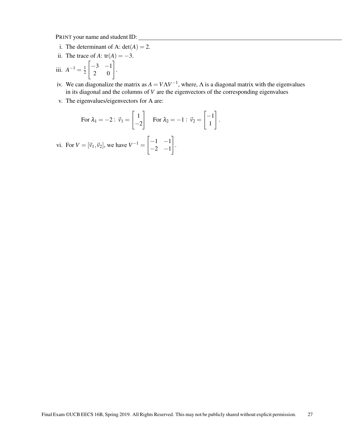- i. The determinant of A:  $det(A) = 2$ .
- ii. The trace of *A*: tr(*A*) =  $-3$ .
- iii.  $A^{-1} = \frac{1}{2}$ 2  $\begin{bmatrix} -3 & -1 \\ 2 & 0 \end{bmatrix}.$
- iv. We can diagonalize the matrix as  $A = V\Lambda V^{-1}$ , where,  $\Lambda$  is a diagonal matrix with the eigenvalues in its diagonal and the columns of *V* are the eigenvectors of the corresponding eigenvalues
- v. The eigenvalues/eigenvectors for A are:

For 
$$
\lambda_1 = -2
$$
:  $\vec{v}_1 = \begin{bmatrix} 1 \\ -2 \end{bmatrix}$  For  $\lambda_2 = -1$ :  $\vec{v}_2 = \begin{bmatrix} -1 \\ 1 \end{bmatrix}$ .

vi. For  $V = [\vec{v}_1, \vec{v}_2]$ , we have  $V^{-1} =$  $\begin{bmatrix} -1 & -1 \end{bmatrix}$  $-2$   $-1$ 1 .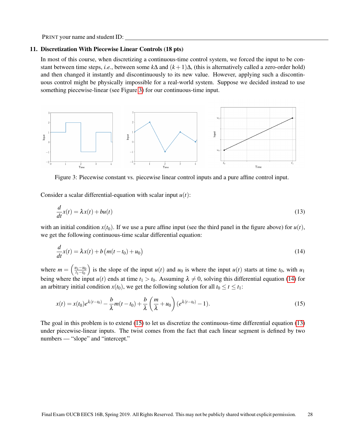#### 11. Discretization With Piecewise Linear Controls (18 pts)

In most of this course, when discretizing a continuous-time control system, we forced the input to be constant between time steps, *i.e.*, between some *k*∆ and (*k* +1)∆, (this is alternatively called a zero-order hold) and then changed it instantly and discontinuously to its new value. However, applying such a discontinuous control might be physically impossible for a real-world system. Suppose we decided instead to use something piecewise-linear (see Figure [3\)](#page-27-0) for our continuous-time input.

<span id="page-27-0"></span>

Figure 3: Piecewise constant vs. piecewise linear control inputs and a pure affine control input.

Consider a scalar differential-equation with scalar input  $u(t)$ :

<span id="page-27-3"></span>
$$
\frac{d}{dt}x(t) = \lambda x(t) + bu(t)
$$
\n(13)

with an initial condition  $x(t_0)$ . If we use a pure affine input (see the third panel in the figure above) for  $u(t)$ , we get the following continuous-time scalar differential equation:

<span id="page-27-1"></span>
$$
\frac{d}{dt}x(t) = \lambda x(t) + b\left(m(t - t_0) + u_0\right)
$$
\n(14)

where  $m = \left(\frac{u_1 - u_0}{t_1 - t_0}\right)$ *t*1−*t*<sup>0</sup> is the slope of the input  $u(t)$  and  $u_0$  is where the input  $u(t)$  starts at time  $t_0$ , with  $u_1$ being where the input  $u(t)$  ends at time  $t_1 > t_0$ . Assuming  $\lambda \neq 0$ , solving this differential equation [\(14\)](#page-27-1) for an arbitrary initial condition  $x(t_0)$ , we get the following solution for all  $t_0 \le t \le t_1$ :

<span id="page-27-2"></span>
$$
x(t) = x(t_0)e^{\lambda(t-t_0)} - \frac{b}{\lambda}m(t-t_0) + \frac{b}{\lambda}\left(\frac{m}{\lambda} + u_0\right)(e^{\lambda(t-t_0)} - 1).
$$
 (15)

The goal in this problem is to extend [\(15\)](#page-27-2) to let us discretize the continuous-time differential equation [\(13\)](#page-27-3) under piecewise-linear inputs. The twist comes from the fact that each linear segment is defined by two numbers — "slope" and "intercept."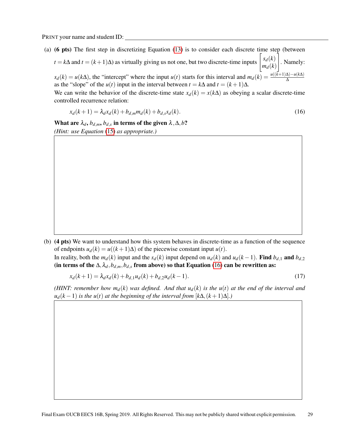- (a) (6 pts) The first step in discretizing Equation [\(13\)](#page-27-3) is to consider each discrete time step (between
	- $t = k\Delta$  and  $t = (k+1)\Delta$ ) as virtually giving us not one, but two discrete-time inputs  $\begin{bmatrix} s_d(k) \\ s_d(k) \end{bmatrix}$  $m_d(k)$ 1 . Namely:  $s_d(k) = u(k\Delta)$ , the "intercept" where the input *u*(*t*) starts for this interval and  $m_d(k) = \frac{u((k+1)\Delta) - u(k\Delta)}{\Delta}$

as the "slope" of the *u*(*t*) input in the interval between  $t = k\Delta$  and  $t = (k+1)\Delta$ . We can write the behavior of the discrete-time state  $x_d(k) = x(k\Delta)$  as obeying a scalar discrete-time controlled recurrence relation:

<span id="page-28-0"></span>
$$
x_d(k+1) = \lambda_d x_d(k) + b_{d,m} m_d(k) + b_{d,s} s_d(k).
$$
\n(16)

What are  $\lambda_d$ ,  $b_{d,m}$ ,  $b_{d,s}$  in terms of the given  $\lambda$  ,  $\Delta$ ,  $b$ ? *(Hint: use Equation* [\(15\)](#page-27-2) *as appropriate.)*

(b) (4 pts) We want to understand how this system behaves in discrete-time as a function of the sequence of endpoints  $u_d(k) = u((k+1)\Delta)$  of the piecewise constant input  $u(t)$ . In reality, both the  $m_d(k)$  input and the  $s_d(k)$  input depend on  $u_d(k)$  and  $u_d(k-1)$ . Find  $b_{d,1}$  and  $b_{d,2}$ 

(in terms of the  $\Delta$ ,  $\lambda_d$ ,  $b_{d,m}$ ,  $b_{d,s}$  from above) so that Equation [\(16\)](#page-28-0) can be rewritten as:

<span id="page-28-1"></span>
$$
x_d(k+1) = \lambda_d x_d(k) + b_{d,1} u_d(k) + b_{d,2} u_d(k-1). \tag{17}
$$

*(HINT: remember how m<sub>d</sub>(k) was defined. And that*  $u_d(k)$  *is the*  $u(t)$  *at the end of the interval and*  $u_d(k-1)$  *is the u*(*t*) *at the beginning of the interval from* [ $k\Delta$ ,  $(k+1)\Delta$ ].)

Final Exam ©UCB EECS 16B, Spring 2019. All Rights Reserved. This may not be publicly shared without explicit permission. 29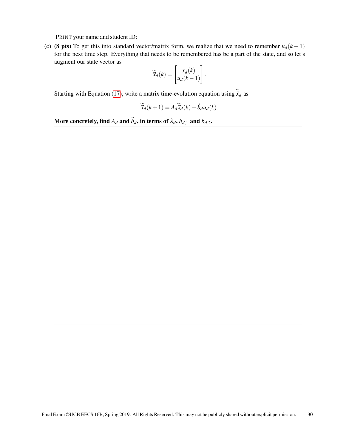(c) (8 pts) To get this into standard vector/matrix form, we realize that we need to remember  $u_d(k-1)$ for the next time step. Everything that needs to be remembered has be a part of the state, and so let's augment our state vector as

$$
\widetilde{\vec{x}}_d(k) = \begin{bmatrix} x_d(k) \\ u_d(k-1) \end{bmatrix}.
$$

Starting with Equation [\(17\)](#page-28-1), write a matrix time-evolution equation using  $\tilde{\vec{x}}_d$  as

$$
\widetilde{\vec{x}}_d(k+1) = A_d \widetilde{\vec{x}}_d(k) + \vec{b}_d u_d(k).
$$

More concretely, find  $A_d$  and  $\vec{b}_d$ , in terms of  $\lambda_d$ ,  $b_{d,1}$  and  $b_{d,2}$ .